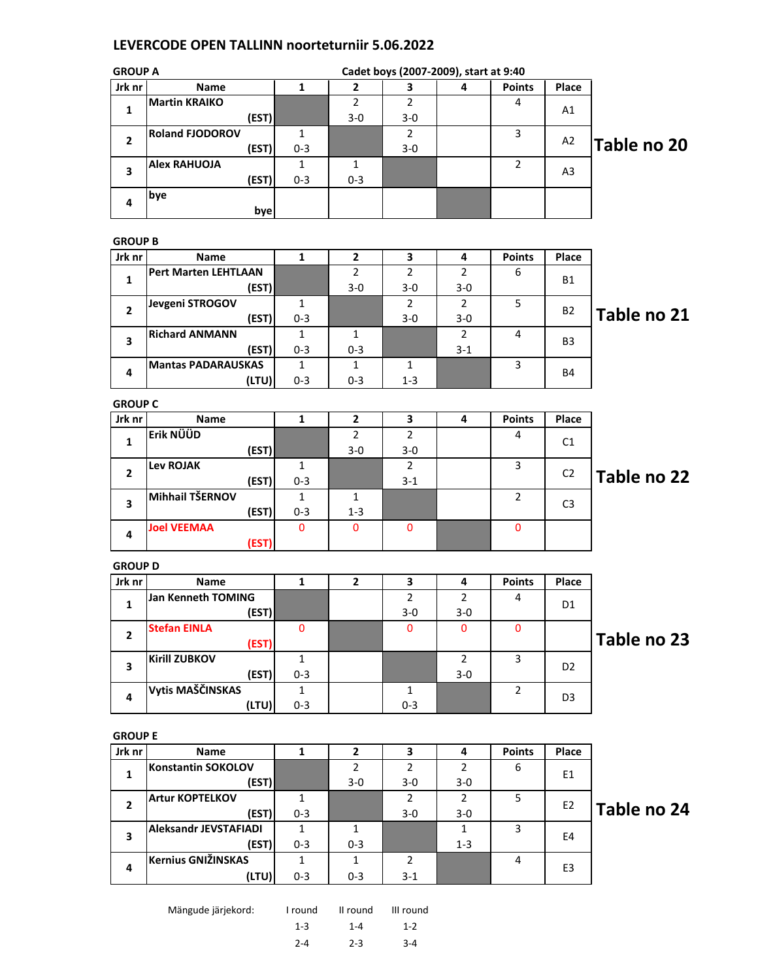## LEVERCODE OPEN TALLINN noorteturniir 5.06.2022

| <b>GROUP A</b> |                              |              |                |                | Cadet boys (2007-2009), start at 9:40 |                |                |             |
|----------------|------------------------------|--------------|----------------|----------------|---------------------------------------|----------------|----------------|-------------|
| Jrk nr         | Name                         | $\mathbf{1}$ | $\mathbf 2$    | 3              | 4                                     | <b>Points</b>  | Place          |             |
| $\mathbf{1}$   | <b>Martin KRAIKO</b>         |              | $\overline{2}$ | $\overline{2}$ |                                       | 4              | A1             |             |
|                | (EST)                        |              | $3 - 0$        | $3 - 0$        |                                       |                |                |             |
| $\overline{2}$ | <b>Roland FJODOROV</b>       | $\mathbf{1}$ |                | $\overline{2}$ |                                       | 3              | A <sub>2</sub> |             |
|                | (EST)                        | $0 - 3$      |                | $3-0$          |                                       |                |                | Table no 20 |
| 3              | <b>Alex RAHUOJA</b>          | $\mathbf{1}$ | $\mathbf{1}$   |                |                                       | $\overline{2}$ | A <sub>3</sub> |             |
|                | (EST)                        | $0 - 3$      | $0 - 3$        |                |                                       |                |                |             |
| 4              | bye                          |              |                |                |                                       |                |                |             |
|                | bye                          |              |                |                |                                       |                |                |             |
|                |                              |              |                |                |                                       |                |                |             |
| <b>GROUP B</b> |                              |              |                |                |                                       |                |                |             |
| Jrk nr         | Name                         | $\mathbf{1}$ | $\mathbf{2}$   | 3              | 4                                     | <b>Points</b>  | Place          |             |
| 1              | <b>Pert Marten LEHTLAAN</b>  |              | $\overline{2}$ | $\overline{2}$ | $\overline{2}$                        | 6              | <b>B1</b>      |             |
|                | (EST)                        |              | $3-0$          | $3 - 0$        | $3-0$                                 |                |                |             |
| $\overline{2}$ | Jevgeni STROGOV              | 1            |                | $\overline{2}$ | $\overline{2}$                        | 5              | B2             | Table no 21 |
|                | (EST)                        | $0 - 3$      |                | $3 - 0$        | $3-0$                                 |                |                |             |
| 3              | <b>Richard ANMANN</b>        | $\mathbf{1}$ | $\mathbf{1}$   |                | $\overline{2}$                        | 4              | B <sub>3</sub> |             |
|                | (EST)                        | $0 - 3$      | $0 - 3$        |                | $3 - 1$                               |                |                |             |
| 4              | <b>Mantas PADARAUSKAS</b>    | $\mathbf{1}$ | $\mathbf{1}$   | $\mathbf{1}$   |                                       | 3              | B4             |             |
|                | (LTU)                        | $0 - 3$      | $0 - 3$        | $1 - 3$        |                                       |                |                |             |
| <b>GROUP C</b> |                              |              |                |                |                                       |                |                |             |
| Jrk nr         | Name                         | $\mathbf{1}$ | $\mathbf{2}$   | 3              | 4                                     | <b>Points</b>  | Place          |             |
| $\mathbf{1}$   | Erik NÜÜD                    |              | $\overline{2}$ | $\overline{2}$ |                                       | 4              | C1             |             |
|                | (EST)                        |              | $3 - 0$        | $3-0$          |                                       |                |                |             |
| $\overline{2}$ | <b>Lev ROJAK</b>             | 1            |                | $\overline{2}$ |                                       | 3              | C <sub>2</sub> |             |
|                | (EST)                        | $0 - 3$      |                | $3 - 1$        |                                       |                |                | Table no 22 |
| 3              | Mihhail TŠERNOV              | $\mathbf{1}$ | 1              |                |                                       | $\overline{2}$ | C <sub>3</sub> |             |
|                | (EST)                        | $0 - 3$      | $1 - 3$        |                |                                       |                |                |             |
| 4              | <b>Joel VEEMAA</b>           | $\mathbf{0}$ | $\mathbf 0$    | 0              |                                       | $\mathbf 0$    |                |             |
|                | (EST)                        |              |                |                |                                       |                |                |             |
| <b>GROUP D</b> |                              |              |                |                |                                       |                |                |             |
| Jrk nr         | <b>Name</b>                  | $\mathbf{1}$ | $\overline{2}$ | 3              | 4                                     | <b>Points</b>  | Place          |             |
|                | Jan Kenneth TOMING           |              |                | $\overline{2}$ | $\overline{2}$                        | 4              |                |             |
| $\mathbf{1}$   | (EST)                        |              |                | $3 - 0$        | $3 - 0$                               |                | D1             |             |
|                | <b>Stefan EINLA</b>          | 0            |                | $\mathbf{0}$   | 0                                     | 0              |                |             |
| $\mathbf{2}$   | (EST)                        |              |                |                |                                       |                |                | Table no 23 |
|                | <b>Kirill ZUBKOV</b>         | $\mathbf{1}$ |                |                | $2^{\circ}$                           | $\mathbf{3}$   |                |             |
| 3              | (EST)                        | $0 - 3$      |                |                | $3-0$                                 |                | D <sub>2</sub> |             |
| 4              | Vytis MAŠČINSKAS             | $\mathbf{1}$ |                | 1              |                                       | $\overline{2}$ | D3             |             |
|                | (LTU)                        | $0 - 3$      |                | $0 - 3$        |                                       |                |                |             |
|                |                              |              |                |                |                                       |                |                |             |
| <b>GROUP E</b> |                              |              |                |                |                                       |                |                |             |
| Jrk nr         | Name                         | $\mathbf{1}$ | $\mathbf{2}$   | 3              | 4                                     | <b>Points</b>  | Place          |             |
| $\mathbf{1}$   | <b>Konstantin SOKOLOV</b>    |              | $\overline{2}$ | $\overline{2}$ | $\overline{2}$                        | 6              | E1             |             |
|                | (EST)                        |              | $3-0$          | $3 - 0$        | $3-0$                                 |                |                |             |
| $\overline{2}$ | <b>Artur KOPTELKOV</b>       | $\mathbf{1}$ |                | $\overline{2}$ | $\overline{2}$                        | 5              | E <sub>2</sub> | Table no 24 |
|                | (EST)                        | $0 - 3$      |                | $3-0$          | $3-0$                                 |                |                |             |
| 3              | <b>Aleksandr JEVSTAFIADI</b> | $\mathbf{1}$ | $\mathbf{1}$   |                | $\mathbf{1}$                          | 3              | E4             |             |
|                | (EST)                        | $0 - 3$      | $0 - 3$        |                | $1 - 3$                               |                |                |             |
| 4              | <b>Kernius GNIŽINSKAS</b>    | $\mathbf{1}$ | $\mathbf{1}$   | 2              |                                       | 4              | E3             |             |
|                | (LTU)                        | $0 - 3$      | $0 - 3$        | $3 - 1$        |                                       |                |                |             |

| Mängude järjekord: | I round | II round | III round |
|--------------------|---------|----------|-----------|

<sup>1-3 1-4 1-2</sup> 2-4 2-3 3-4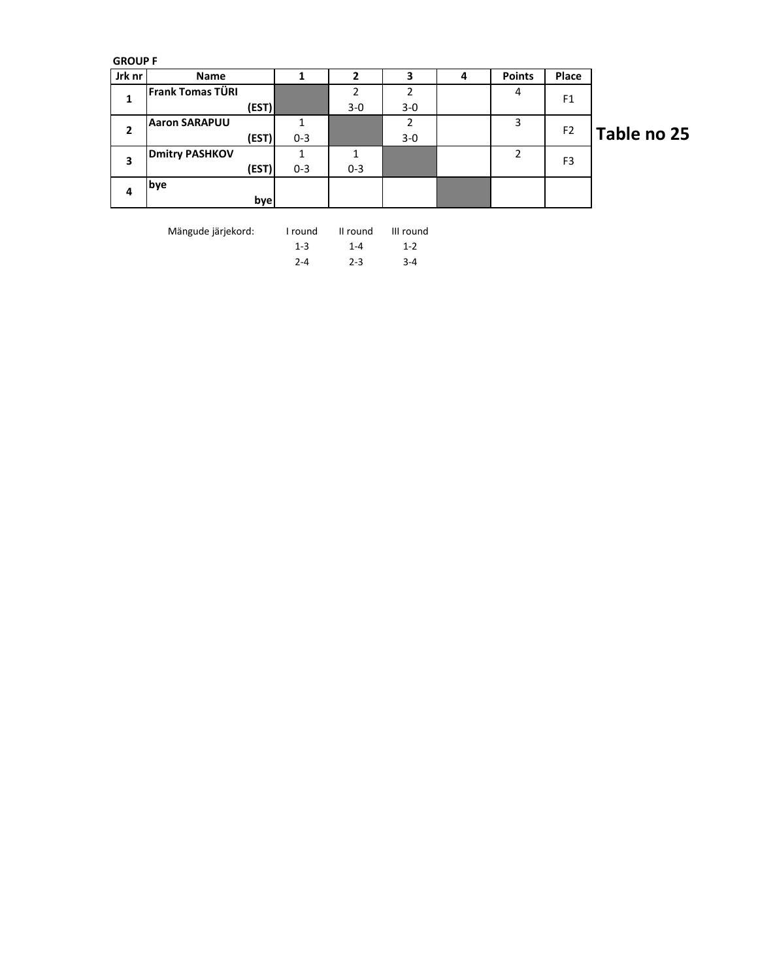GROUP F

| Jrk nr | Name                  |         |         | 3              | 4 | <b>Points</b> | Place          |             |
|--------|-----------------------|---------|---------|----------------|---|---------------|----------------|-------------|
| 1      | Frank Tomas TÜRI      |         |         | $\overline{2}$ |   | 4             | F <sub>1</sub> |             |
|        | (EST)                 |         | $3 - 0$ | $3 - 0$        |   |               |                |             |
| 2      | <b>Aaron SARAPUU</b>  |         |         | っ              |   | 3             | F <sub>2</sub> |             |
|        | (EST)                 | $0 - 3$ |         | $3-0$          |   |               |                | Table no 25 |
|        | <b>Dmitry PASHKOV</b> |         |         |                |   | 2             | F <sub>3</sub> |             |
| 3      | (EST)                 | $0 - 3$ | $0 - 3$ |                |   |               |                |             |
|        | bye                   |         |         |                |   |               |                |             |
| 4      | bye                   |         |         |                |   |               |                |             |

Mängude järjekord: I round II round III round

1-3 1-4 1-2 2-4 2-3 3-4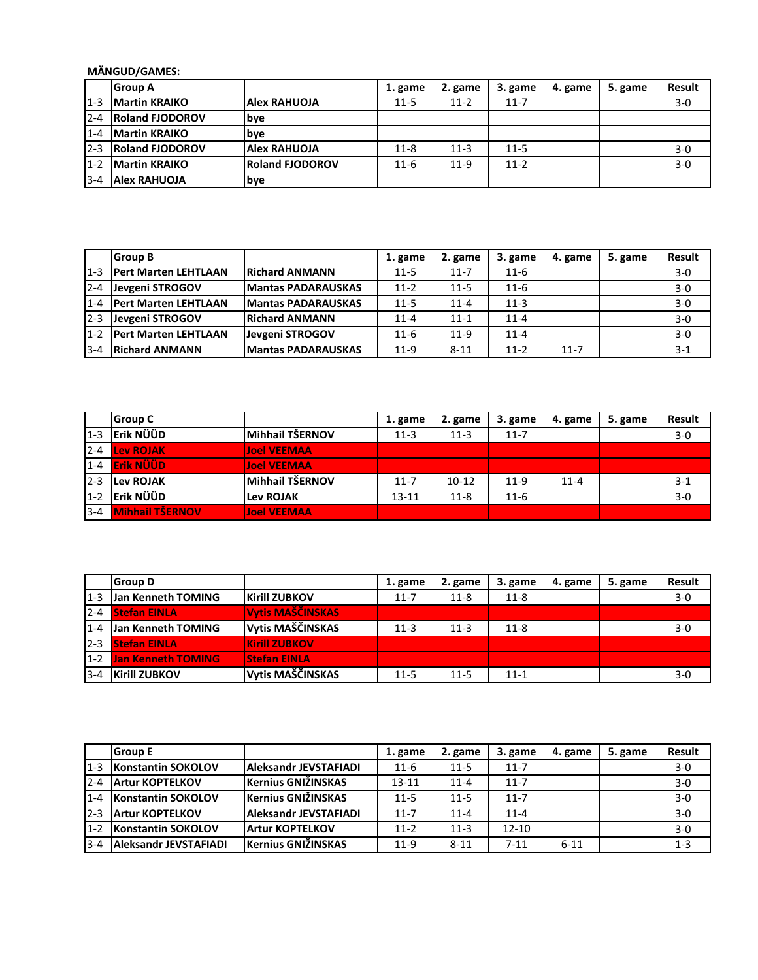## MÄNGUD/GAMES:

|         | <b>Group A</b>         |                        | 1. game  | 2. game  | 3. game  | 4. game | 5. game | <b>Result</b> |
|---------|------------------------|------------------------|----------|----------|----------|---------|---------|---------------|
| $1 - 3$ | <b>Martin KRAIKO</b>   | <b>Alex RAHUOJA</b>    | $11 - 5$ | $11-2$   | $11 - 7$ |         |         | $3-0$         |
| $2 - 4$ | <b>Roland FJODOROV</b> | lbve                   |          |          |          |         |         |               |
| $1 - 4$ | <b>Martin KRAIKO</b>   | <b>bye</b>             |          |          |          |         |         |               |
| $2 - 3$ | <b>Roland FJODOROV</b> | <b>Alex RAHUOJA</b>    | $11 - 8$ | $11 - 3$ | $11 - 5$ |         |         | $3-0$         |
| $1 - 2$ | <b>IMartin KRAIKO</b>  | <b>Roland FJODOROV</b> | $11-6$   | $11-9$   | $11 - 2$ |         |         | $3-0$         |
| $3 - 4$ | <b>Alex RAHUOJA</b>    | bye                    |          |          |          |         |         |               |

|         | <b>Group B</b>               |                           | 1. game  | 2. game  | 3. game  | 4. game  | 5. game | <b>Result</b> |
|---------|------------------------------|---------------------------|----------|----------|----------|----------|---------|---------------|
| $1 - 3$ | <b>IPert Marten LEHTLAAN</b> | <b>Richard ANMANN</b>     | $11-5$   | $11 - 7$ | $11-6$   |          |         | $3-0$         |
| $2 - 4$ | Jevgeni STROGOV              | <b>Mantas PADARAUSKAS</b> | $11 - 2$ | $11 - 5$ | $11 - 6$ |          |         | $3-0$         |
| $1 - 4$ | <b>Pert Marten LEHTLAAN</b>  | <b>Mantas PADARAUSKAS</b> | $11 - 5$ | $11 - 4$ | $11 - 3$ |          |         | $3-0$         |
| $2-3$   | Jevgeni STROGOV              | <b>Richard ANMANN</b>     | $11 - 4$ | $11 - 1$ | $11 - 4$ |          |         | $3 - 0$       |
| $1 - 2$ | <b>Pert Marten LEHTLAAN</b>  | Jevgeni STROGOV           | $11 - 6$ | $11-9$   | $11 - 4$ |          |         | $3 - 0$       |
| $3 - 4$ | <b>Richard ANMANN</b>        | <b>Mantas PADARAUSKAS</b> | $11-9$   | $8 - 11$ | $11-2$   | $11 - 7$ |         | $3 - 1$       |

|         | <b>Group C</b>         |                    | 1. game   | 2. game   | 3. game  | 4. game  | 5. game | <b>Result</b> |
|---------|------------------------|--------------------|-----------|-----------|----------|----------|---------|---------------|
| $1 - 3$ | Erik NÜÜD              | Mihhail TŠERNOV    | $11 - 3$  | $11-3$    | $11 - 7$ |          |         | $3 - 0$       |
| $2 - 4$ | Lev ROJAK              | <b>Joel VEEMAA</b> |           |           |          |          |         |               |
|         | 1-4 Erik NÜÜD          | <b>Joel VEEMAA</b> |           |           |          |          |         |               |
| $2 - 3$ | <b>Lev ROJAK</b>       | Mihhail TŠERNOV    | $11 - 7$  | $10 - 12$ | $11-9$   | $11 - 4$ |         | $3-1$         |
| $1 - 2$ | Erik NÜÜD              | <b>Lev ROJAK</b>   | $13 - 11$ | $11 - 8$  | $11-6$   |          |         | $3 - 0$       |
| $3 - 4$ | <b>Mihhail TŠERNOV</b> | <b>Joel VEEMAA</b> |           |           |          |          |         |               |

|          | <b>Group D</b>            |                         | 1. game  | 2. game  | 3. game  | 4. game | 5. game | <b>Result</b> |
|----------|---------------------------|-------------------------|----------|----------|----------|---------|---------|---------------|
| $1 - 3$  | Jan Kenneth TOMING        | <b>Kirill ZUBKOV</b>    | $11 - 7$ | $11 - 8$ | $11 - 8$ |         |         | $3-0$         |
| $2 - 4$  | <b>Stefan EINLA</b>       | <b>Vytis MAŠČINSKAS</b> |          |          |          |         |         |               |
| $1 - 4$  | <b>Jan Kenneth TOMING</b> | Vytis MAŠČINSKAS        | $11-3$   | $11 - 3$ | $11 - 8$ |         |         | $3-0$         |
| $12 - 3$ | <b>Stefan EINLA</b>       | <b>Kirill ZUBKOV</b>    |          |          |          |         |         |               |
| $1 - 2$  | <b>Jan Kenneth TOMING</b> | <b>Stefan EINLA</b>     |          |          |          |         |         |               |
| $3 - 4$  | <b>Kirill ZUBKOV</b>      | Vytis MAŠČINSKAS        | $11 - 5$ | $11 - 5$ | $11 - 1$ |         |         | $3-0$         |

|         | <b>Group E</b>            |                              | 1. game   | 2. game  | 3. game   | 4. game  | 5. game | Result  |
|---------|---------------------------|------------------------------|-----------|----------|-----------|----------|---------|---------|
| $1-3$   | Konstantin SOKOLOV        | <b>Aleksandr JEVSTAFIADI</b> | $11 - 6$  | $11 - 5$ | $11 - 7$  |          |         | $3 - 0$ |
| $2 - 4$ | <b>Artur KOPTELKOV</b>    | <b>Kernius GNIŽINSKAS</b>    | $13 - 11$ | $11 - 4$ | $11 - 7$  |          |         | $3 - 0$ |
| $1 - 4$ | <b>Konstantin SOKOLOV</b> | <b>Kernius GNIŽINSKAS</b>    | $11 - 5$  | $11 - 5$ | $11 - 7$  |          |         | $3 - 0$ |
| $2 - 3$ | <b>Artur KOPTELKOV</b>    | <b>Aleksandr JEVSTAFIADI</b> | $11 - 7$  | $11 - 4$ | $11 - 4$  |          |         | $3-0$   |
| $1 - 2$ | <b>Konstantin SOKOLOV</b> | <b>Artur KOPTELKOV</b>       | $11-2$    | $11 - 3$ | $12 - 10$ |          |         | $3 - 0$ |
| $3 - 4$ | Aleksandr JEVSTAFIADI     | <b>Kernius GNIŽINSKAS</b>    | $11-9$    | $8 - 11$ | $7 - 11$  | $6 - 11$ |         | $1 - 3$ |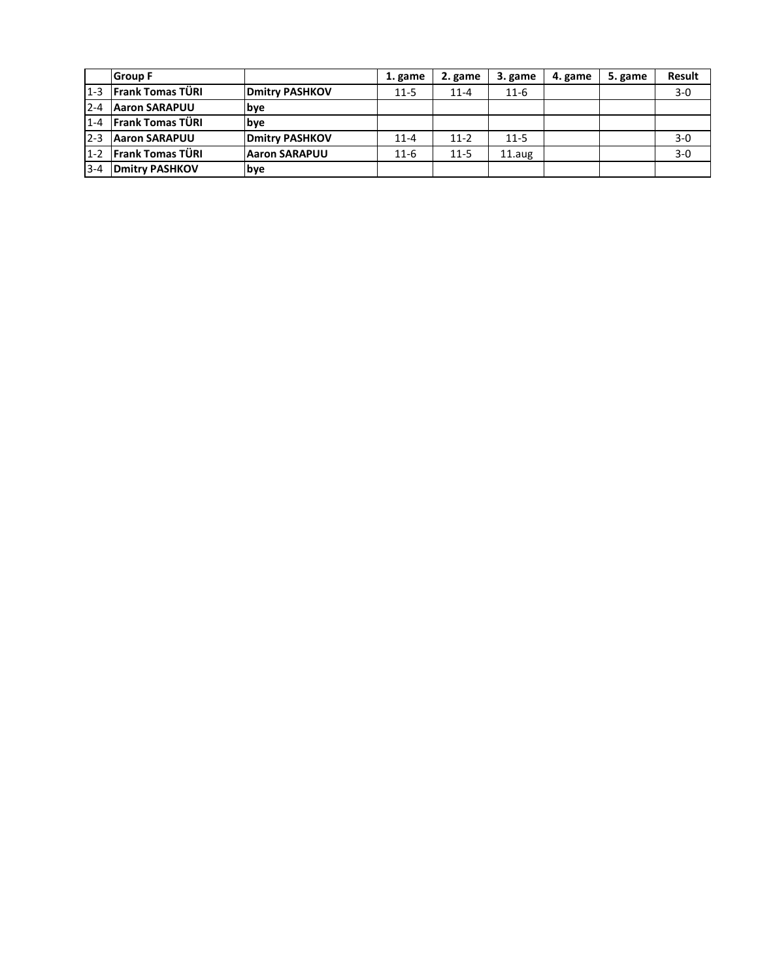|         | <b>Group F</b>          |                        | 1. game  | 2. game  | 3. game  | 4. game | 5. game | <b>Result</b> |
|---------|-------------------------|------------------------|----------|----------|----------|---------|---------|---------------|
| $1-3$   | <b>Frank Tomas TÜRI</b> | <b>IDmitry PASHKOV</b> | $11 - 5$ | $11 - 4$ | $11-6$   |         |         | $3-0$         |
| $2 - 4$ | <b>Aaron SARAPUU</b>    | <b>bye</b>             |          |          |          |         |         |               |
| $1 - 4$ | <b>Frank Tomas TÜRI</b> | <b>b</b> ve            |          |          |          |         |         |               |
| $2 - 3$ | <b>Aaron SARAPUU</b>    | <b>Dmitry PASHKOV</b>  | $11 - 4$ | $11 - 2$ | $11 - 5$ |         |         | $3-0$         |
| $1 - 2$ | <b>Frank Tomas TÜRI</b> | <b>Aaron SARAPUU</b>   | $11-6$   | $11 - 5$ | 11.aug   |         |         | $3-0$         |
| $3 - 4$ | <b>Dmitry PASHKOV</b>   | <b>bye</b>             |          |          |          |         |         |               |